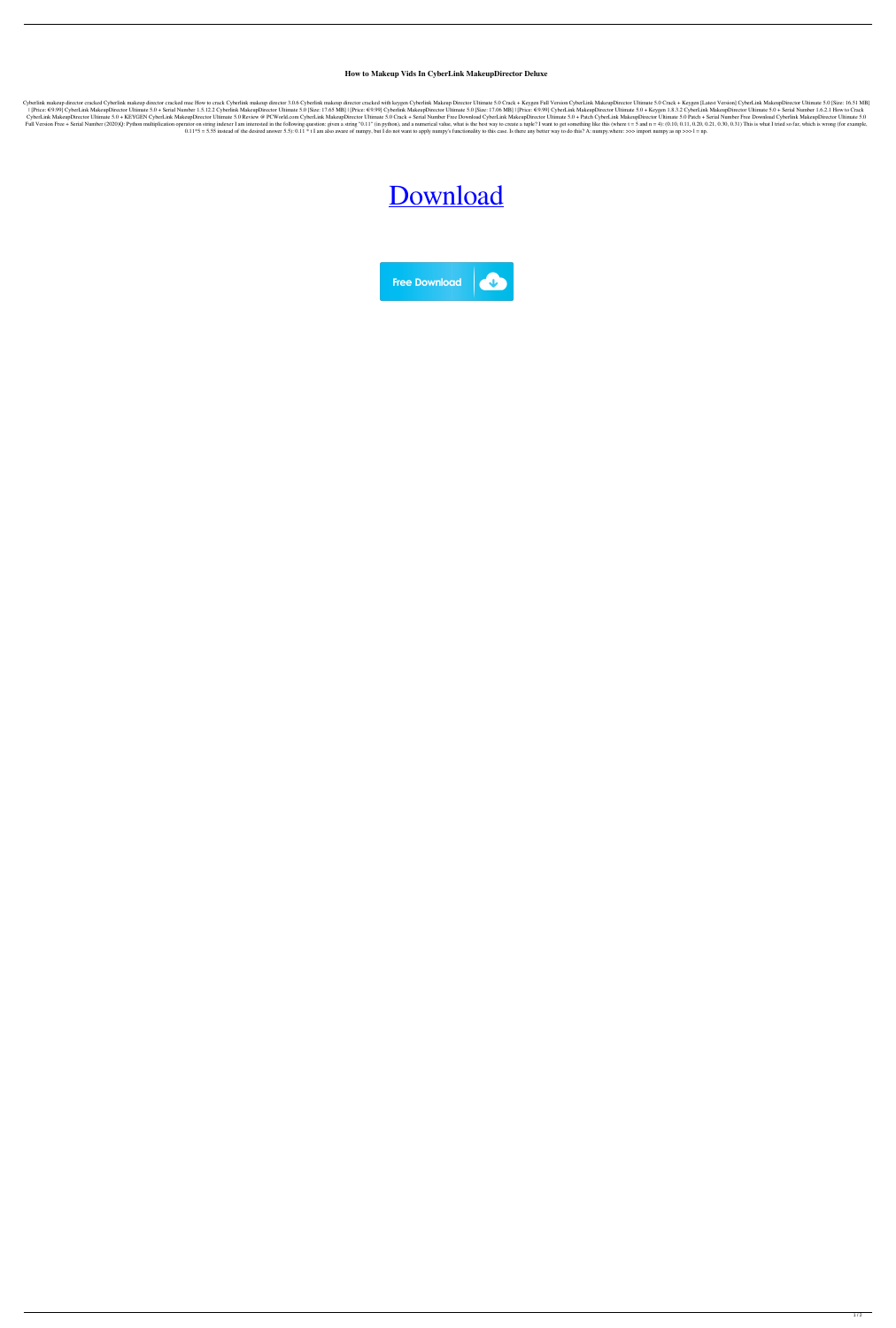**How to Makeup Vids In CyberLink MakeupDirector Deluxe**

Cyberlink makeup director cracked Cyberlink makeup director cracked mac How to crack Cyberlink makeup director 3.0.6 Cyberlink makeup director cracked with keygen Cyberlink Makeup Director Ultimate 5.0 Crack + Keygen Full [Price: €9.99] CyberLink MakeupDirector Ultimate 5.0 + Serial Number 1.5.12.2 Cyberlink MakeupDirector Ultimate 5.0 [Size: 17.65 MB] | [Price: €9.99] CyberLink MakeupDirector Ultimate 5.0 [Size: 17.06 MB] | [Price: €9.99] CyberLink MakeupDirector Ultimate 5.0 + KEYGEN CyberLink MakeupDirector Ultimate 5.0 Review @ PCWorld.com CyberLink MakeupDirector Ultimate 5.0 Crack + Serial Number Free Download CyberLink MakeupDirector Ultimate 5.0 + Pa Full Version Free + Serial Number (2020)Q: Python multiplication operator on string indexer I am interested in the following question: given a string "0.11" (in python), and a numerical value, what is the best way to creat  $0.11*5 = 5.55$  instead of the desired answer 5.5):  $0.11 * t$  I am also aware of numpy, but I do not want to apply numpy's functionality to this case. Is there any better way to do this? A: numpy.where: >>> import numpy as

## [Download](https://ssurll.com/2l0fes)